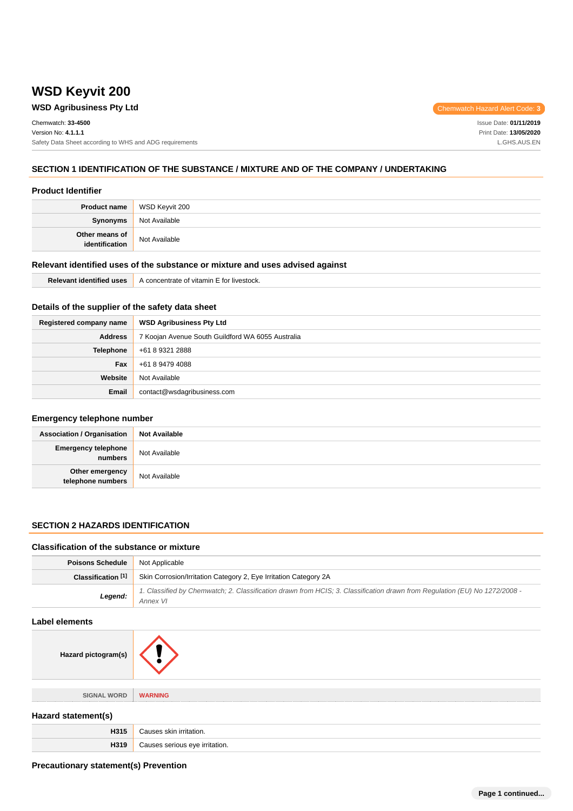# **WSD Keyvit 200**

# **WSD Agribusiness Pty Ltd Chemwatch Hazard Alert Code: 3**

Chemwatch: **33-4500** Version No: **4.1.1.1** Safety Data Sheet according to WHS and ADG requirements

Issue Date: **01/11/2019** Print Date: **13/05/2020** L.GHS.AUS.EN

### **SECTION 1 IDENTIFICATION OF THE SUBSTANCE / MIXTURE AND OF THE COMPANY / UNDERTAKING**

#### **Product Identifier**

|                                  | <b>Product name</b> WSD Keyvit 200 |
|----------------------------------|------------------------------------|
| Synonyms                         | Not Available                      |
| Other means of<br>identification | Not Available                      |

#### **Relevant identified uses of the substance or mixture and uses advised against**

| <b>Relevant identified uses</b> | A concentrate of vitamin E for livestock. |
|---------------------------------|-------------------------------------------|
|---------------------------------|-------------------------------------------|

### **Details of the supplier of the safety data sheet**

| Registered company name | <b>WSD Agribusiness Pty Ltd</b>                   |  |
|-------------------------|---------------------------------------------------|--|
| <b>Address</b>          | 7 Koojan Avenue South Guildford WA 6055 Australia |  |
| Telephone               | +61 8 9321 2888                                   |  |
| Fax                     | +61 8 9479 4088                                   |  |
| Website                 | Not Available                                     |  |
| <b>Email</b>            | contact@wsdagribusiness.com                       |  |

#### **Emergency telephone number**

| <b>Association / Organisation</b>     | <b>Not Available</b> |
|---------------------------------------|----------------------|
| <b>Emergency telephone</b><br>numbers | Not Available        |
| Other emergency<br>telephone numbers  | Not Available        |

### **SECTION 2 HAZARDS IDENTIFICATION**

#### **Classification of the substance or mixture**

| <b>Poisons Schedule</b> Not Applicable |                                                                                                                                                                      |
|----------------------------------------|----------------------------------------------------------------------------------------------------------------------------------------------------------------------|
|                                        | <b>Classification</b> [1] Skin Corrosion/Irritation Category 2, Eye Irritation Category 2A                                                                           |
|                                        | 1. Classified by Chemwatch; 2. Classification drawn from HCIS; 3. Classification drawn from Regulation (EU) No 1272/2008 -<br><b>Legend:</b> $\overline{A}$ Annex VI |

#### **Label elements**





**SIGNAL WORD WARNING**

### **Hazard statement(s)**

|   | ,,,,,  |
|---|--------|
| . | ation. |

### **Precautionary statement(s) Prevention**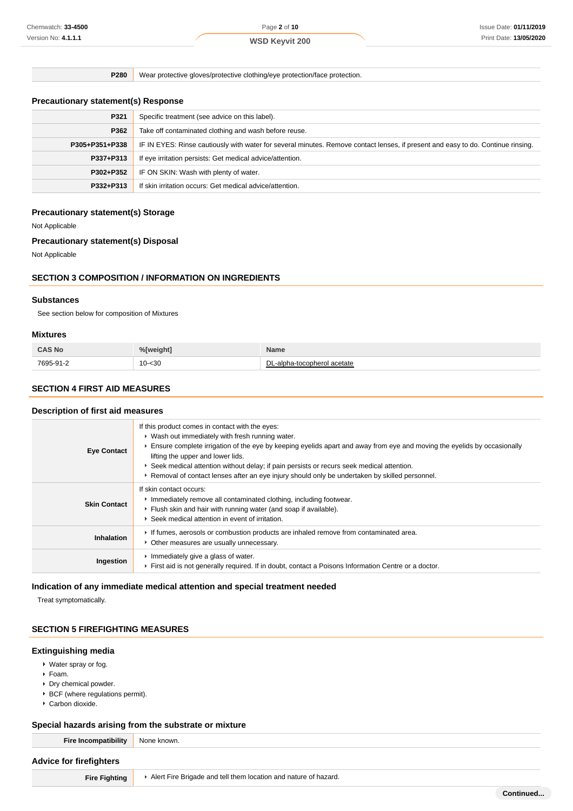**P280** Wear protective gloves/protective clothing/eye protection/face protection.

### **Precautionary statement(s) Response**

| P321           | Specific treatment (see advice on this label).                                                                                   |  |
|----------------|----------------------------------------------------------------------------------------------------------------------------------|--|
| P362           | Take off contaminated clothing and wash before reuse.                                                                            |  |
| P305+P351+P338 | IF IN EYES: Rinse cautiously with water for several minutes. Remove contact lenses, if present and easy to do. Continue rinsing. |  |
| P337+P313      | If eye irritation persists: Get medical advice/attention.                                                                        |  |
| P302+P352      | IF ON SKIN: Wash with plenty of water.                                                                                           |  |
| P332+P313      | If skin irritation occurs: Get medical advice/attention.                                                                         |  |

### **Precautionary statement(s) Storage**

Not Applicable

#### **Precautionary statement(s) Disposal**

Not Applicable

### **SECTION 3 COMPOSITION / INFORMATION ON INGREDIENTS**

#### **Substances**

See section below for composition of Mixtures

#### **Mixtures**

| <b>CAS No</b> | %[weight] | Name                                  |
|---------------|-----------|---------------------------------------|
| 7695-91-2     | $10 - 30$ | ירו<br>-alpha-tocopherol acetate<br>◡ |

#### **SECTION 4 FIRST AID MEASURES**

#### **Description of first aid measures**

| <b>Eye Contact</b>  | If this product comes in contact with the eyes:<br>• Wash out immediately with fresh running water.<br>Ensure complete irrigation of the eye by keeping eyelids apart and away from eye and moving the eyelids by occasionally<br>lifting the upper and lower lids.<br>► Seek medical attention without delay; if pain persists or recurs seek medical attention.<br>► Removal of contact lenses after an eye injury should only be undertaken by skilled personnel. |
|---------------------|----------------------------------------------------------------------------------------------------------------------------------------------------------------------------------------------------------------------------------------------------------------------------------------------------------------------------------------------------------------------------------------------------------------------------------------------------------------------|
| <b>Skin Contact</b> | If skin contact occurs:<br>Inmediately remove all contaminated clothing, including footwear.<br>Flush skin and hair with running water (and soap if available).<br>▶ Seek medical attention in event of irritation.                                                                                                                                                                                                                                                  |
| <b>Inhalation</b>   | If fumes, aerosols or combustion products are inhaled remove from contaminated area.<br>• Other measures are usually unnecessary.                                                                                                                                                                                                                                                                                                                                    |
| Ingestion           | Immediately give a glass of water.<br>First aid is not generally required. If in doubt, contact a Poisons Information Centre or a doctor.                                                                                                                                                                                                                                                                                                                            |

### **Indication of any immediate medical attention and special treatment needed**

Treat symptomatically.

### **SECTION 5 FIREFIGHTING MEASURES**

#### **Extinguishing media**

- Water spray or fog.
- Foam.
- Dry chemical powder.
- BCF (where regulations permit).
- Carbon dioxide.

#### **Special hazards arising from the substrate or mixture**

| <b>Fire Incompatibility</b> | None known. |
|-----------------------------|-------------|
|-----------------------------|-------------|

#### **Advice for firefighters**

**Fire Fighting Alert Fire Brigade and tell them location and nature of hazard.**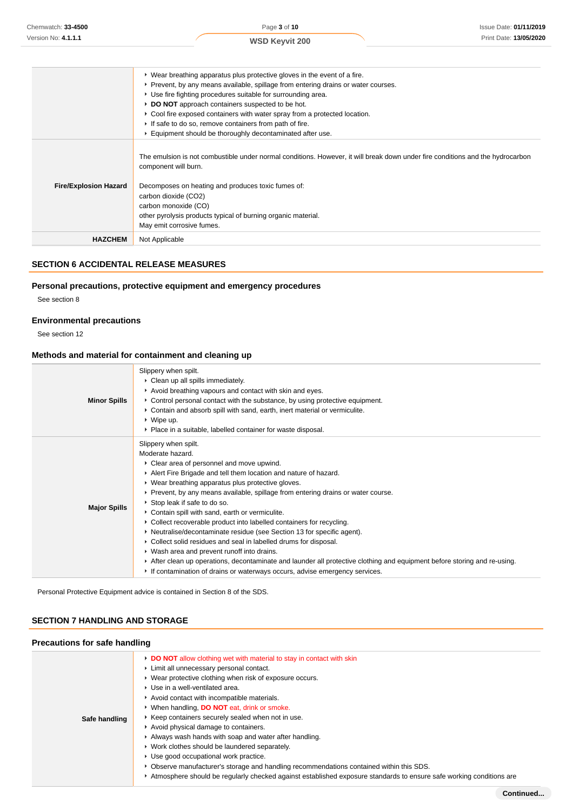|                              | ► Wear breathing apparatus plus protective gloves in the event of a fire.<br>▶ Prevent, by any means available, spillage from entering drains or water courses.<br>▶ Use fire fighting procedures suitable for surrounding area.<br>DO NOT approach containers suspected to be hot.<br>▶ Cool fire exposed containers with water spray from a protected location.<br>If safe to do so, remove containers from path of fire.<br>Equipment should be thoroughly decontaminated after use. |
|------------------------------|-----------------------------------------------------------------------------------------------------------------------------------------------------------------------------------------------------------------------------------------------------------------------------------------------------------------------------------------------------------------------------------------------------------------------------------------------------------------------------------------|
| <b>Fire/Explosion Hazard</b> | The emulsion is not combustible under normal conditions. However, it will break down under fire conditions and the hydrocarbon<br>component will burn.<br>Decomposes on heating and produces toxic fumes of:<br>carbon dioxide (CO2)<br>carbon monoxide (CO)<br>other pyrolysis products typical of burning organic material.<br>May emit corrosive fumes.                                                                                                                              |
| <b>HAZCHEM</b>               | Not Applicable                                                                                                                                                                                                                                                                                                                                                                                                                                                                          |

### **SECTION 6 ACCIDENTAL RELEASE MEASURES**

### **Personal precautions, protective equipment and emergency procedures**

See section 8

### **Environmental precautions**

See section 12

### **Methods and material for containment and cleaning up**

| <b>Minor Spills</b> | Slippery when spilt.<br>• Clean up all spills immediately.<br>Avoid breathing vapours and contact with skin and eyes.<br>► Control personal contact with the substance, by using protective equipment.<br>► Contain and absorb spill with sand, earth, inert material or vermiculite.<br>$\triangleright$ Wipe up.<br>• Place in a suitable, labelled container for waste disposal.                                                                                                                                                                                                                                                                                                                                                                                                                                                                                    |
|---------------------|------------------------------------------------------------------------------------------------------------------------------------------------------------------------------------------------------------------------------------------------------------------------------------------------------------------------------------------------------------------------------------------------------------------------------------------------------------------------------------------------------------------------------------------------------------------------------------------------------------------------------------------------------------------------------------------------------------------------------------------------------------------------------------------------------------------------------------------------------------------------|
| <b>Major Spills</b> | Slippery when spilt.<br>Moderate hazard.<br>• Clear area of personnel and move upwind.<br>Alert Fire Brigade and tell them location and nature of hazard.<br>• Wear breathing apparatus plus protective gloves.<br>▶ Prevent, by any means available, spillage from entering drains or water course.<br>Stop leak if safe to do so.<br>Contain spill with sand, earth or vermiculite.<br>• Collect recoverable product into labelled containers for recycling.<br>• Neutralise/decontaminate residue (see Section 13 for specific agent).<br>• Collect solid residues and seal in labelled drums for disposal.<br>• Wash area and prevent runoff into drains.<br>After clean up operations, decontaminate and launder all protective clothing and equipment before storing and re-using.<br>If contamination of drains or waterways occurs, advise emergency services. |

Personal Protective Equipment advice is contained in Section 8 of the SDS.

### **SECTION 7 HANDLING AND STORAGE**

# **Precautions for safe handling Safe handling DO NOT** allow clothing wet with material to stay in contact with skin Limit all unnecessary personal contact. Wear protective clothing when risk of exposure occurs. Use in a well-ventilated area. Avoid contact with incompatible materials. When handling, **DO NOT** eat, drink or smoke.  $\blacktriangleright$  Keep containers securely sealed when not in use. Avoid physical damage to containers. Always wash hands with soap and water after handling. Work clothes should be laundered separately. Use good occupational work practice. Observe manufacturer's storage and handling recommendations contained within this SDS. Atmosphere should be regularly checked against established exposure standards to ensure safe working conditions are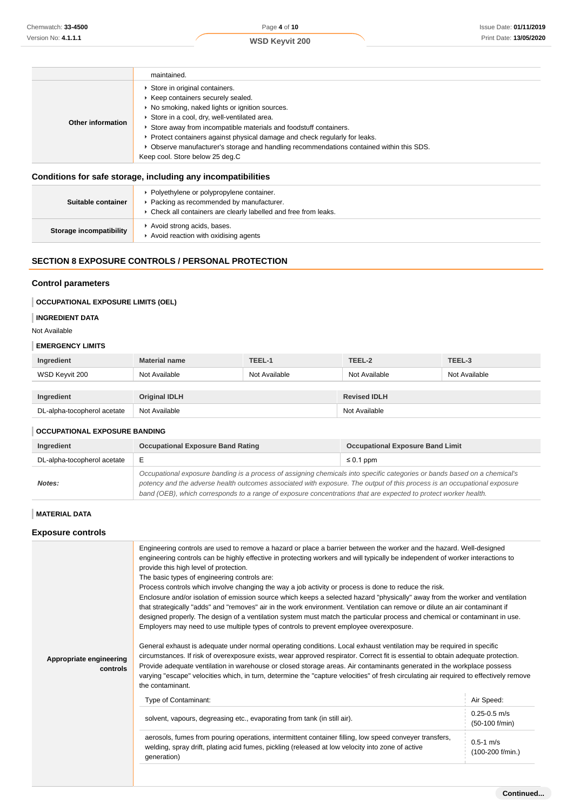|                   | maintained.                                                                                                                                                                                                                                                                                                                                                                                                                                           |
|-------------------|-------------------------------------------------------------------------------------------------------------------------------------------------------------------------------------------------------------------------------------------------------------------------------------------------------------------------------------------------------------------------------------------------------------------------------------------------------|
| Other information | Store in original containers.<br>Keep containers securely sealed.<br>▶ No smoking, naked lights or ignition sources.<br>Store in a cool, dry, well-ventilated area.<br>Store away from incompatible materials and foodstuff containers.<br>▶ Protect containers against physical damage and check regularly for leaks.<br>▶ Observe manufacturer's storage and handling recommendations contained within this SDS.<br>Keep cool. Store below 25 deg.C |

# **Conditions for safe storage, including any incompatibilities**

| Suitable container      | Polyethylene or polypropylene container.<br>Packing as recommended by manufacturer.<br>Check all containers are clearly labelled and free from leaks. |
|-------------------------|-------------------------------------------------------------------------------------------------------------------------------------------------------|
| Storage incompatibility | Avoid strong acids, bases.<br>Avoid reaction with oxidising agents                                                                                    |

# **SECTION 8 EXPOSURE CONTROLS / PERSONAL PROTECTION**

#### **Control parameters**

### **OCCUPATIONAL EXPOSURE LIMITS (OEL)**

# **INGREDIENT DATA**

Not Available

#### **EMERGENCY LIMITS**

| Ingredient                  | <b>Material name</b> | TEEL-1        | TEEL-2              | TEEL-3        |
|-----------------------------|----------------------|---------------|---------------------|---------------|
| WSD Keyvit 200              | Not Available        | Not Available | Not Available       | Not Available |
|                             |                      |               |                     |               |
| Ingredient                  | <b>Original IDLH</b> |               | <b>Revised IDLH</b> |               |
| DL-alpha-tocopherol acetate | Not Available        |               | Not Available       |               |

### **OCCUPATIONAL EXPOSURE BANDING**

| Ingredient                  | <b>Occupational Exposure Band Rating</b>                                                                                                                                                                                                                                                                                                                                 | <b>Occupational Exposure Band Limit</b> |
|-----------------------------|--------------------------------------------------------------------------------------------------------------------------------------------------------------------------------------------------------------------------------------------------------------------------------------------------------------------------------------------------------------------------|-----------------------------------------|
| DL-alpha-tocopherol acetate | Е                                                                                                                                                                                                                                                                                                                                                                        | $\leq 0.1$ ppm                          |
| Notes:                      | Occupational exposure banding is a process of assigning chemicals into specific categories or bands based on a chemical's<br>potency and the adverse health outcomes associated with exposure. The output of this process is an occupational exposure<br>band (OEB), which corresponds to a range of exposure concentrations that are expected to protect worker health. |                                         |

### **MATERIAL DATA**

### **Exposure controls**

| Appropriate engineering<br>controls | Engineering controls are used to remove a hazard or place a barrier between the worker and the hazard. Well-designed<br>engineering controls can be highly effective in protecting workers and will typically be independent of worker interactions to<br>provide this high level of protection.<br>The basic types of engineering controls are:<br>Process controls which involve changing the way a job activity or process is done to reduce the risk.<br>Enclosure and/or isolation of emission source which keeps a selected hazard "physically" away from the worker and ventilation<br>that strategically "adds" and "removes" air in the work environment. Ventilation can remove or dilute an air contaminant if<br>designed properly. The design of a ventilation system must match the particular process and chemical or contaminant in use.<br>Employers may need to use multiple types of controls to prevent employee overexposure.<br>General exhaust is adequate under normal operating conditions. Local exhaust ventilation may be required in specific<br>circumstances. If risk of overexposure exists, wear approved respirator. Correct fit is essential to obtain adequate protection.<br>Provide adequate ventilation in warehouse or closed storage areas. Air contaminants generated in the workplace possess<br>varying "escape" velocities which, in turn, determine the "capture velocities" of fresh circulating air required to effectively remove<br>the contaminant. |                                    |  |
|-------------------------------------|--------------------------------------------------------------------------------------------------------------------------------------------------------------------------------------------------------------------------------------------------------------------------------------------------------------------------------------------------------------------------------------------------------------------------------------------------------------------------------------------------------------------------------------------------------------------------------------------------------------------------------------------------------------------------------------------------------------------------------------------------------------------------------------------------------------------------------------------------------------------------------------------------------------------------------------------------------------------------------------------------------------------------------------------------------------------------------------------------------------------------------------------------------------------------------------------------------------------------------------------------------------------------------------------------------------------------------------------------------------------------------------------------------------------------------------------------------------------------------------------------------|------------------------------------|--|
|                                     | Type of Contaminant:                                                                                                                                                                                                                                                                                                                                                                                                                                                                                                                                                                                                                                                                                                                                                                                                                                                                                                                                                                                                                                                                                                                                                                                                                                                                                                                                                                                                                                                                                   | Air Speed:                         |  |
|                                     | solvent, vapours, degreasing etc., evaporating from tank (in still air).                                                                                                                                                                                                                                                                                                                                                                                                                                                                                                                                                                                                                                                                                                                                                                                                                                                                                                                                                                                                                                                                                                                                                                                                                                                                                                                                                                                                                               | $0.25 - 0.5$ m/s<br>(50-100 f/min) |  |
|                                     | aerosols, fumes from pouring operations, intermittent container filling, low speed conveyer transfers,<br>welding, spray drift, plating acid fumes, pickling (released at low velocity into zone of active<br>generation)                                                                                                                                                                                                                                                                                                                                                                                                                                                                                                                                                                                                                                                                                                                                                                                                                                                                                                                                                                                                                                                                                                                                                                                                                                                                              | $0.5 - 1$ m/s<br>(100-200 f/min.)  |  |
|                                     |                                                                                                                                                                                                                                                                                                                                                                                                                                                                                                                                                                                                                                                                                                                                                                                                                                                                                                                                                                                                                                                                                                                                                                                                                                                                                                                                                                                                                                                                                                        |                                    |  |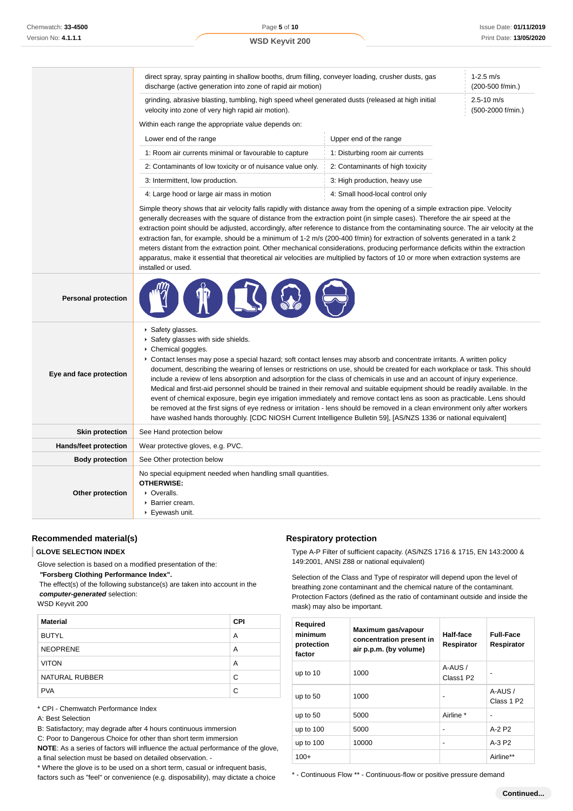|                              | direct spray, spray painting in shallow booths, drum filling, conveyer loading, crusher dusts, gas<br>discharge (active generation into zone of rapid air motion)                                                                                                                                                                                                                                                                                                                                                                                                                                                                                                                                                                                                                                                                                                                                                                                                                    |                                  | $1-2.5$ m/s<br>(200-500 f/min.)     |
|------------------------------|--------------------------------------------------------------------------------------------------------------------------------------------------------------------------------------------------------------------------------------------------------------------------------------------------------------------------------------------------------------------------------------------------------------------------------------------------------------------------------------------------------------------------------------------------------------------------------------------------------------------------------------------------------------------------------------------------------------------------------------------------------------------------------------------------------------------------------------------------------------------------------------------------------------------------------------------------------------------------------------|----------------------------------|-------------------------------------|
|                              | grinding, abrasive blasting, tumbling, high speed wheel generated dusts (released at high initial<br>velocity into zone of very high rapid air motion).                                                                                                                                                                                                                                                                                                                                                                                                                                                                                                                                                                                                                                                                                                                                                                                                                              |                                  | $2.5 - 10$ m/s<br>(500-2000 f/min.) |
|                              | Within each range the appropriate value depends on:                                                                                                                                                                                                                                                                                                                                                                                                                                                                                                                                                                                                                                                                                                                                                                                                                                                                                                                                  |                                  |                                     |
|                              | Lower end of the range                                                                                                                                                                                                                                                                                                                                                                                                                                                                                                                                                                                                                                                                                                                                                                                                                                                                                                                                                               | Upper end of the range           |                                     |
|                              | 1: Room air currents minimal or favourable to capture                                                                                                                                                                                                                                                                                                                                                                                                                                                                                                                                                                                                                                                                                                                                                                                                                                                                                                                                | 1: Disturbing room air currents  |                                     |
|                              | 2: Contaminants of low toxicity or of nuisance value only.                                                                                                                                                                                                                                                                                                                                                                                                                                                                                                                                                                                                                                                                                                                                                                                                                                                                                                                           | 2: Contaminants of high toxicity |                                     |
|                              | 3: Intermittent, low production.                                                                                                                                                                                                                                                                                                                                                                                                                                                                                                                                                                                                                                                                                                                                                                                                                                                                                                                                                     | 3: High production, heavy use    |                                     |
|                              | 4: Large hood or large air mass in motion                                                                                                                                                                                                                                                                                                                                                                                                                                                                                                                                                                                                                                                                                                                                                                                                                                                                                                                                            | 4: Small hood-local control only |                                     |
|                              | generally decreases with the square of distance from the extraction point (in simple cases). Therefore the air speed at the<br>extraction point should be adjusted, accordingly, after reference to distance from the contaminating source. The air velocity at the<br>extraction fan, for example, should be a minimum of 1-2 m/s (200-400 f/min) for extraction of solvents generated in a tank 2<br>meters distant from the extraction point. Other mechanical considerations, producing performance deficits within the extraction<br>apparatus, make it essential that theoretical air velocities are multiplied by factors of 10 or more when extraction systems are<br>installed or used.                                                                                                                                                                                                                                                                                     |                                  |                                     |
| <b>Personal protection</b>   |                                                                                                                                                                                                                                                                                                                                                                                                                                                                                                                                                                                                                                                                                                                                                                                                                                                                                                                                                                                      |                                  |                                     |
| Eye and face protection      | ▶ Safety glasses.<br>Safety glasses with side shields.<br>Chemical goggles.<br>► Contact lenses may pose a special hazard; soft contact lenses may absorb and concentrate irritants. A written policy<br>document, describing the wearing of lenses or restrictions on use, should be created for each workplace or task. This should<br>include a review of lens absorption and adsorption for the class of chemicals in use and an account of injury experience.<br>Medical and first-aid personnel should be trained in their removal and suitable equipment should be readily available. In the<br>event of chemical exposure, begin eye irrigation immediately and remove contact lens as soon as practicable. Lens should<br>be removed at the first signs of eye redness or irritation - lens should be removed in a clean environment only after workers<br>have washed hands thoroughly. [CDC NIOSH Current Intelligence Bulletin 59], [AS/NZS 1336 or national equivalent] |                                  |                                     |
| <b>Skin protection</b>       | See Hand protection below                                                                                                                                                                                                                                                                                                                                                                                                                                                                                                                                                                                                                                                                                                                                                                                                                                                                                                                                                            |                                  |                                     |
| <b>Hands/feet protection</b> | Wear protective gloves, e.g. PVC.                                                                                                                                                                                                                                                                                                                                                                                                                                                                                                                                                                                                                                                                                                                                                                                                                                                                                                                                                    |                                  |                                     |
| <b>Body protection</b>       | See Other protection below                                                                                                                                                                                                                                                                                                                                                                                                                                                                                                                                                                                                                                                                                                                                                                                                                                                                                                                                                           |                                  |                                     |
| Other protection             | No special equipment needed when handling small quantities.<br><b>OTHERWISE:</b><br>• Overalls.<br>▶ Barrier cream.<br>▶ Eyewash unit.                                                                                                                                                                                                                                                                                                                                                                                                                                                                                                                                                                                                                                                                                                                                                                                                                                               |                                  |                                     |

## **Recommended material(s)**

#### **GLOVE SELECTION INDEX**

Glove selection is based on a modified presentation of the:

 **"Forsberg Clothing Performance Index".**

 The effect(s) of the following substance(s) are taken into account in the **computer-generated** selection:

#### WSD Keyvit 200

| <b>Material</b>       | <b>CPI</b> |
|-----------------------|------------|
| <b>BUTYL</b>          | A          |
| <b>NEOPRENE</b>       | A          |
| <b>VITON</b>          | A          |
| <b>NATURAL RUBBER</b> | C          |
| <b>PVA</b>            | C          |

\* CPI - Chemwatch Performance Index

- A: Best Selection
- B: Satisfactory; may degrade after 4 hours continuous immersion

C: Poor to Dangerous Choice for other than short term immersion

**NOTE**: As a series of factors will influence the actual performance of the glove, a final selection must be based on detailed observation. -

\* Where the glove is to be used on a short term, casual or infrequent basis, factors such as "feel" or convenience (e.g. disposability), may dictate a choice

### **Respiratory protection**

Type A-P Filter of sufficient capacity. (AS/NZS 1716 & 1715, EN 143:2000 & 149:2001, ANSI Z88 or national equivalent)

Selection of the Class and Type of respirator will depend upon the level of breathing zone contaminant and the chemical nature of the contaminant. Protection Factors (defined as the ratio of contaminant outside and inside the mask) may also be important.

| Required<br>minimum<br>protection<br>factor | Maximum gas/vapour<br>concentration present in<br>air p.p.m. (by volume) | Half-face<br>Respirator | <b>Full-Face</b><br>Respirator    |
|---------------------------------------------|--------------------------------------------------------------------------|-------------------------|-----------------------------------|
| up to $10$                                  | 1000                                                                     | A-AUS /<br>Class1 P2    |                                   |
| up to $50$                                  | 1000                                                                     |                         | A-AUS /<br>Class 1 P <sub>2</sub> |
| up to $50$                                  | 5000                                                                     | Airline *               |                                   |
| up to $100$                                 | 5000                                                                     |                         | $A-2P2$                           |
| up to $100$                                 | 10000                                                                    | $\overline{a}$          | $A-3P2$                           |
| $100+$                                      |                                                                          |                         | Airline**                         |

\* - Continuous Flow \*\* - Continuous-flow or positive pressure demand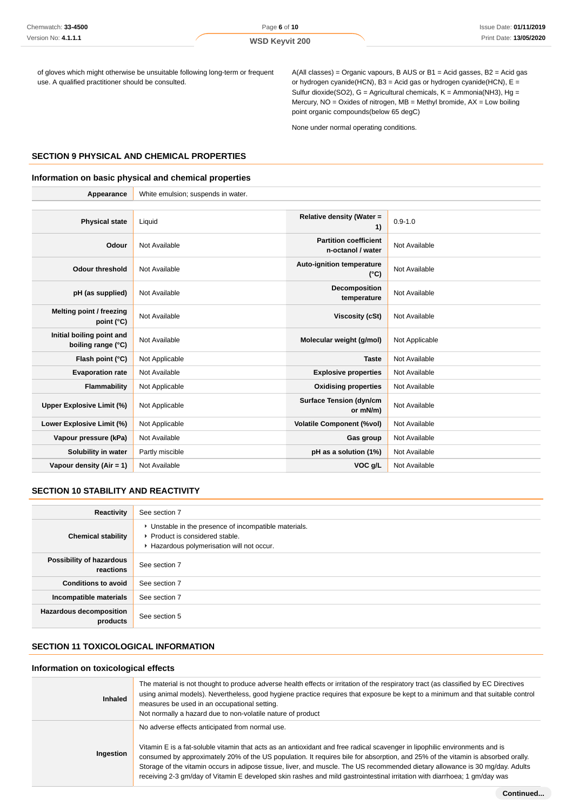of gloves which might otherwise be unsuitable following long-term or frequent use. A qualified practitioner should be consulted.

A(All classes) = Organic vapours, B AUS or B1 = Acid gasses, B2 = Acid gas or hydrogen cyanide(HCN), B3 = Acid gas or hydrogen cyanide(HCN), E = Sulfur dioxide(SO2),  $G =$  Agricultural chemicals,  $K =$  Ammonia(NH3), Hg = Mercury, NO = Oxides of nitrogen, MB = Methyl bromide, AX = Low boiling point organic compounds(below 65 degC)

None under normal operating conditions.

#### **SECTION 9 PHYSICAL AND CHEMICAL PROPERTIES**

#### **Information on basic physical and chemical properties**

| Appearance                                      | White emulsion; suspends in water. |                                                   |                |
|-------------------------------------------------|------------------------------------|---------------------------------------------------|----------------|
|                                                 |                                    |                                                   |                |
| <b>Physical state</b>                           | Liquid                             | Relative density (Water =<br>1)                   | $0.9 - 1.0$    |
| Odour                                           | Not Available                      | <b>Partition coefficient</b><br>n-octanol / water | Not Available  |
| <b>Odour threshold</b>                          | Not Available                      | Auto-ignition temperature<br>$(^{\circ}C)$        | Not Available  |
| pH (as supplied)                                | Not Available                      | <b>Decomposition</b><br>temperature               | Not Available  |
| Melting point / freezing<br>point (°C)          | Not Available                      | <b>Viscosity (cSt)</b>                            | Not Available  |
| Initial boiling point and<br>boiling range (°C) | Not Available                      | Molecular weight (g/mol)                          | Not Applicable |
| Flash point (°C)                                | Not Applicable                     | <b>Taste</b>                                      | Not Available  |
| <b>Evaporation rate</b>                         | Not Available                      | <b>Explosive properties</b>                       | Not Available  |
| Flammability                                    | Not Applicable                     | <b>Oxidising properties</b>                       | Not Available  |
| Upper Explosive Limit (%)                       | Not Applicable                     | <b>Surface Tension (dyn/cm</b><br>or mN/m)        | Not Available  |
| Lower Explosive Limit (%)                       | Not Applicable                     | <b>Volatile Component (%vol)</b>                  | Not Available  |
| Vapour pressure (kPa)                           | Not Available                      | Gas group                                         | Not Available  |
| Solubility in water                             | Partly miscible                    | pH as a solution (1%)                             | Not Available  |
| Vapour density $(Air = 1)$                      | Not Available                      | VOC g/L                                           | Not Available  |

# **SECTION 10 STABILITY AND REACTIVITY**

| Reactivity                                 | See section 7                                                                                                                        |
|--------------------------------------------|--------------------------------------------------------------------------------------------------------------------------------------|
| <b>Chemical stability</b>                  | • Unstable in the presence of incompatible materials.<br>▶ Product is considered stable.<br>Hazardous polymerisation will not occur. |
| Possibility of hazardous<br>reactions      | See section 7                                                                                                                        |
| <b>Conditions to avoid</b>                 | See section 7                                                                                                                        |
| Incompatible materials                     | See section 7                                                                                                                        |
| <b>Hazardous decomposition</b><br>products | See section 5                                                                                                                        |

### **SECTION 11 TOXICOLOGICAL INFORMATION**

### **Information on toxicological effects**

| <b>Inhaled</b> | The material is not thought to produce adverse health effects or irritation of the respiratory tract (as classified by EC Directives<br>using animal models). Nevertheless, good hygiene practice requires that exposure be kept to a minimum and that suitable control<br>measures be used in an occupational setting.<br>Not normally a hazard due to non-volatile nature of product                                                                                                                                                                                          |
|----------------|---------------------------------------------------------------------------------------------------------------------------------------------------------------------------------------------------------------------------------------------------------------------------------------------------------------------------------------------------------------------------------------------------------------------------------------------------------------------------------------------------------------------------------------------------------------------------------|
| Ingestion      | No adverse effects anticipated from normal use.<br>Vitamin E is a fat-soluble vitamin that acts as an antioxidant and free radical scavenger in lipophilic environments and is<br>consumed by approximately 20% of the US population. It requires bile for absorption, and 25% of the vitamin is absorbed orally.<br>Storage of the vitamin occurs in adipose tissue, liver, and muscle. The US recommended dietary allowance is 30 mg/day. Adults<br>receiving 2-3 gm/day of Vitamin E developed skin rashes and mild gastrointestinal irritation with diarrhoea; 1 gm/day was |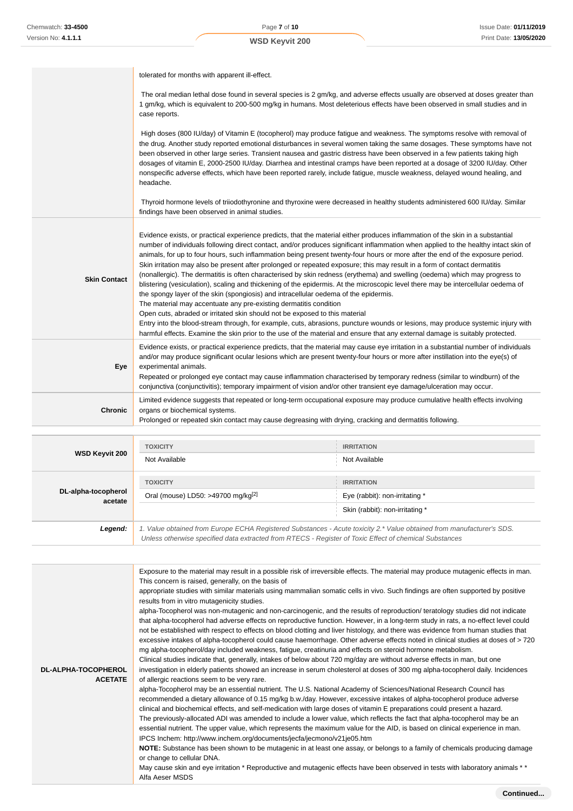Page **7** of **10 WSD Keyvit 200**

|                     | tolerated for months with apparent ill-effect.                                                                                                                                                                                                                                                                                                                                                                                                                                                                                                                                                                                                                                                                                                                                                                                                                                                                                                                                                                                                                                                                                                                                                                                                                                                                           |
|---------------------|--------------------------------------------------------------------------------------------------------------------------------------------------------------------------------------------------------------------------------------------------------------------------------------------------------------------------------------------------------------------------------------------------------------------------------------------------------------------------------------------------------------------------------------------------------------------------------------------------------------------------------------------------------------------------------------------------------------------------------------------------------------------------------------------------------------------------------------------------------------------------------------------------------------------------------------------------------------------------------------------------------------------------------------------------------------------------------------------------------------------------------------------------------------------------------------------------------------------------------------------------------------------------------------------------------------------------|
|                     | The oral median lethal dose found in several species is 2 gm/kg, and adverse effects usually are observed at doses greater than<br>1 gm/kg, which is equivalent to 200-500 mg/kg in humans. Most deleterious effects have been observed in small studies and in<br>case reports.                                                                                                                                                                                                                                                                                                                                                                                                                                                                                                                                                                                                                                                                                                                                                                                                                                                                                                                                                                                                                                         |
|                     | High doses (800 IU/day) of Vitamin E (tocopherol) may produce fatigue and weakness. The symptoms resolve with removal of<br>the drug. Another study reported emotional disturbances in several women taking the same dosages. These symptoms have not<br>been observed in other large series. Transient nausea and gastric distress have been observed in a few patients taking high<br>dosages of vitamin E, 2000-2500 IU/day. Diarrhea and intestinal cramps have been reported at a dosage of 3200 IU/day. Other<br>nonspecific adverse effects, which have been reported rarely, include fatigue, muscle weakness, delayed wound healing, and<br>headache.                                                                                                                                                                                                                                                                                                                                                                                                                                                                                                                                                                                                                                                           |
|                     | Thyroid hormone levels of triiodothyronine and thyroxine were decreased in healthy students administered 600 IU/day. Similar<br>findings have been observed in animal studies.                                                                                                                                                                                                                                                                                                                                                                                                                                                                                                                                                                                                                                                                                                                                                                                                                                                                                                                                                                                                                                                                                                                                           |
| <b>Skin Contact</b> | Evidence exists, or practical experience predicts, that the material either produces inflammation of the skin in a substantial<br>number of individuals following direct contact, and/or produces significant inflammation when applied to the healthy intact skin of<br>animals, for up to four hours, such inflammation being present twenty-four hours or more after the end of the exposure period.<br>Skin irritation may also be present after prolonged or repeated exposure; this may result in a form of contact dermatitis<br>(nonallergic). The dermatitis is often characterised by skin redness (erythema) and swelling (oedema) which may progress to<br>blistering (vesiculation), scaling and thickening of the epidermis. At the microscopic level there may be intercellular oedema of<br>the spongy layer of the skin (spongiosis) and intracellular oedema of the epidermis.<br>The material may accentuate any pre-existing dermatitis condition<br>Open cuts, abraded or irritated skin should not be exposed to this material<br>Entry into the blood-stream through, for example, cuts, abrasions, puncture wounds or lesions, may produce systemic injury with<br>harmful effects. Examine the skin prior to the use of the material and ensure that any external damage is suitably protected. |
| Eye                 | Evidence exists, or practical experience predicts, that the material may cause eye irritation in a substantial number of individuals<br>and/or may produce significant ocular lesions which are present twenty-four hours or more after instillation into the eye(s) of<br>experimental animals.<br>Repeated or prolonged eye contact may cause inflammation characterised by temporary redness (similar to windburn) of the<br>conjunctiva (conjunctivitis); temporary impairment of vision and/or other transient eye damage/ulceration may occur.                                                                                                                                                                                                                                                                                                                                                                                                                                                                                                                                                                                                                                                                                                                                                                     |
| <b>Chronic</b>      | Limited evidence suggests that repeated or long-term occupational exposure may produce cumulative health effects involving<br>organs or biochemical systems.<br>Prolonged or repeated skin contact may cause degreasing with drying, cracking and dermatitis following.                                                                                                                                                                                                                                                                                                                                                                                                                                                                                                                                                                                                                                                                                                                                                                                                                                                                                                                                                                                                                                                  |

| WSD Keyvit 200                 | <b>TOXICITY</b><br>Not Available                                                                                                                                                                                                | <b>IRRITATION</b><br>Not Available                                                     |
|--------------------------------|---------------------------------------------------------------------------------------------------------------------------------------------------------------------------------------------------------------------------------|----------------------------------------------------------------------------------------|
| DL-alpha-tocopherol<br>acetate | <b>TOXICITY</b><br>Oral (mouse) LD50: >49700 mg/kg <sup>[2]</sup>                                                                                                                                                               | <b>IRRITATION</b><br>Eye (rabbit): non-irritating *<br>Skin (rabbit): non-irritating * |
| Legend:                        | 1. Value obtained from Europe ECHA Registered Substances - Acute toxicity 2.* Value obtained from manufacturer's SDS.<br>Unless otherwise specified data extracted from RTECS - Register of Toxic Effect of chemical Substances |                                                                                        |

| <b>DL-ALPHA-TOCOPHEROL</b><br><b>ACETATE</b> | Exposure to the material may result in a possible risk of irreversible effects. The material may produce mutagenic effects in man.<br>This concern is raised, generally, on the basis of<br>appropriate studies with similar materials using mammalian somatic cells in vivo. Such findings are often supported by positive<br>results from in vitro mutagenicity studies.<br>alpha-Tocopherol was non-mutagenic and non-carcinogenic, and the results of reproduction/ teratology studies did not indicate<br>that alpha-tocopherol had adverse effects on reproductive function. However, in a long-term study in rats, a no-effect level could<br>not be established with respect to effects on blood clotting and liver histology, and there was evidence from human studies that<br>excessive intakes of alpha-tocopherol could cause haemorrhage. Other adverse effects noted in clinical studies at doses of > 720<br>mg alpha-tocopherol/day included weakness, fatigue, creatinuria and effects on steroid hormone metabolism.<br>Clinical studies indicate that, generally, intakes of below about 720 mg/day are without adverse effects in man, but one<br>investigation in elderly patients showed an increase in serum cholesterol at doses of 300 mg alpha-tocopherol daily. Incidences<br>of allergic reactions seem to be very rare.<br>alpha-Tocopherol may be an essential nutrient. The U.S. National Academy of Sciences/National Research Council has<br>recommended a dietary allowance of 0.15 mg/kg b.w./day. However, excessive intakes of alpha-tocopherol produce adverse<br>clinical and biochemical effects, and self-medication with large doses of vitamin E preparations could present a hazard.<br>The previously-allocated ADI was amended to include a lower value, which reflects the fact that alpha-tocopherol may be an<br>essential nutrient. The upper value, which represents the maximum value for the AID, is based on clinical experience in man.<br>IPCS Inchem: http://www.inchem.org/documents/jecfa/jecmono/v21je05.htm<br>NOTE: Substance has been shown to be mutagenic in at least one assay, or belongs to a family of chemicals producing damage<br>or change to cellular DNA. |
|----------------------------------------------|---------------------------------------------------------------------------------------------------------------------------------------------------------------------------------------------------------------------------------------------------------------------------------------------------------------------------------------------------------------------------------------------------------------------------------------------------------------------------------------------------------------------------------------------------------------------------------------------------------------------------------------------------------------------------------------------------------------------------------------------------------------------------------------------------------------------------------------------------------------------------------------------------------------------------------------------------------------------------------------------------------------------------------------------------------------------------------------------------------------------------------------------------------------------------------------------------------------------------------------------------------------------------------------------------------------------------------------------------------------------------------------------------------------------------------------------------------------------------------------------------------------------------------------------------------------------------------------------------------------------------------------------------------------------------------------------------------------------------------------------------------------------------------------------------------------------------------------------------------------------------------------------------------------------------------------------------------------------------------------------------------------------------------------------------------------------------------------------------------------------------------------------------------------------------------------------------------------------------------------|
|                                              | May cause skin and eye irritation * Reproductive and mutagenic effects have been observed in tests with laboratory animals * *                                                                                                                                                                                                                                                                                                                                                                                                                                                                                                                                                                                                                                                                                                                                                                                                                                                                                                                                                                                                                                                                                                                                                                                                                                                                                                                                                                                                                                                                                                                                                                                                                                                                                                                                                                                                                                                                                                                                                                                                                                                                                                        |
|                                              | Alfa Aeser MSDS                                                                                                                                                                                                                                                                                                                                                                                                                                                                                                                                                                                                                                                                                                                                                                                                                                                                                                                                                                                                                                                                                                                                                                                                                                                                                                                                                                                                                                                                                                                                                                                                                                                                                                                                                                                                                                                                                                                                                                                                                                                                                                                                                                                                                       |
|                                              |                                                                                                                                                                                                                                                                                                                                                                                                                                                                                                                                                                                                                                                                                                                                                                                                                                                                                                                                                                                                                                                                                                                                                                                                                                                                                                                                                                                                                                                                                                                                                                                                                                                                                                                                                                                                                                                                                                                                                                                                                                                                                                                                                                                                                                       |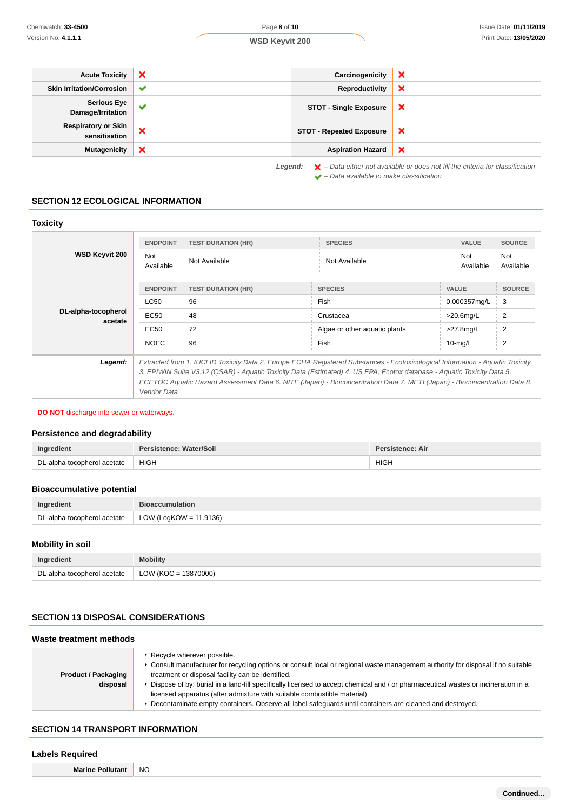|                                             | ×<br>Carcinogenicity                          | ×                         |
|---------------------------------------------|-----------------------------------------------|---------------------------|
| <b>Skin Irritation/Corrosion</b>            | Reproductivity<br>$\checkmark$                | ×                         |
| <b>Serious Eye</b><br>Damage/Irritation     | $\checkmark$<br><b>STOT - Single Exposure</b> | ×                         |
| <b>Respiratory or Skin</b><br>sensitisation | ×<br><b>STOT - Repeated Exposure</b>          | $\boldsymbol{\mathsf{x}}$ |
| <b>Mutagenicity</b>                         | ×<br><b>Aspiration Hazard</b>                 | $\boldsymbol{\mathsf{x}}$ |

 $\blacktriangleright$  – Data available to make classification

**SECTION 12 ECOLOGICAL INFORMATION**

# **Toxicity**

| <b>WSD Keyvit 200</b>          | <b>ENDPOINT</b><br><b>Not</b><br>Available                                                                                                                                                                                                                                                                                                                                                         | <b>TEST DURATION (HR)</b><br>Not Available                 | <b>SPECIES</b><br>Not Available                                                     | <b>VALUE</b><br>Not<br>Available                                           | <b>SOURCE</b><br>Not<br>Available                                        |
|--------------------------------|----------------------------------------------------------------------------------------------------------------------------------------------------------------------------------------------------------------------------------------------------------------------------------------------------------------------------------------------------------------------------------------------------|------------------------------------------------------------|-------------------------------------------------------------------------------------|----------------------------------------------------------------------------|--------------------------------------------------------------------------|
| DL-alpha-tocopherol<br>acetate | <b>LC50</b><br>EC <sub>50</sub><br>EC <sub>50</sub><br><b>NOEC</b>                                                                                                                                                                                                                                                                                                                                 | <b>ENDPOINT FEST DURATION (HR)</b><br>96<br>48<br>72<br>96 | <b>SPECIES</b><br><b>Fish</b><br>Crustacea<br>Algae or other aguatic plants<br>Fish | <b>VALUE</b><br>0.000357mg/L<br>$>20.6$ mg/L<br>$>27.8$ mg/L<br>$10$ -mg/L | <b>SOURCE</b><br>3<br>$\overline{2}$<br>$\overline{2}$<br>$\overline{2}$ |
| Legend:                        | Extracted from 1. IUCLID Toxicity Data 2. Europe ECHA Registered Substances - Ecotoxicological Information - Aquatic Toxicity<br>3. EPIWIN Suite V3.12 (QSAR) - Aquatic Toxicity Data (Estimated) 4. US EPA, Ecotox database - Aquatic Toxicity Data 5.<br>ECETOC Aquatic Hazard Assessment Data 6. NITE (Japan) - Bioconcentration Data 7. METI (Japan) - Bioconcentration Data 8.<br>Vendor Data |                                                            |                                                                                     |                                                                            |                                                                          |

**DO NOT** discharge into sewer or waterways.

### **Persistence and degradability**

| Indredient                  | rsistence: Water/Soil | ˈsistence: Air |
|-----------------------------|-----------------------|----------------|
| DL-alpha-tocopherol acetate | <b>HIGH</b>           | <b>HIGH</b>    |

### **Bioaccumulative potential**

| Ingredient                  | <b>Bioaccumulation</b>    |
|-----------------------------|---------------------------|
| DL-alpha-tocopherol acetate | LOW (LogKOW = $11.9136$ ) |

# **Mobility in soil**

| Ingredient                  | <b>Mobility</b>        |
|-----------------------------|------------------------|
| DL-alpha-tocopherol acetate | $LOW (KOC = 13870000)$ |

### **SECTION 13 DISPOSAL CONSIDERATIONS**

### **Waste treatment methods**

| <b>Product / Packaging</b><br>disposal | Recycle wherever possible.<br>► Consult manufacturer for recycling options or consult local or regional waste management authority for disposal if no suitable<br>treatment or disposal facility can be identified.<br>Dispose of by: burial in a land-fill specifically licensed to accept chemical and / or pharmaceutical wastes or incineration in a<br>licensed apparatus (after admixture with suitable combustible material).<br>Decontaminate empty containers. Observe all label safeguards until containers are cleaned and destroyed. |
|----------------------------------------|--------------------------------------------------------------------------------------------------------------------------------------------------------------------------------------------------------------------------------------------------------------------------------------------------------------------------------------------------------------------------------------------------------------------------------------------------------------------------------------------------------------------------------------------------|
|----------------------------------------|--------------------------------------------------------------------------------------------------------------------------------------------------------------------------------------------------------------------------------------------------------------------------------------------------------------------------------------------------------------------------------------------------------------------------------------------------------------------------------------------------------------------------------------------------|

# **SECTION 14 TRANSPORT INFORMATION**

### **Labels Required**

**Marine Pollutant** NO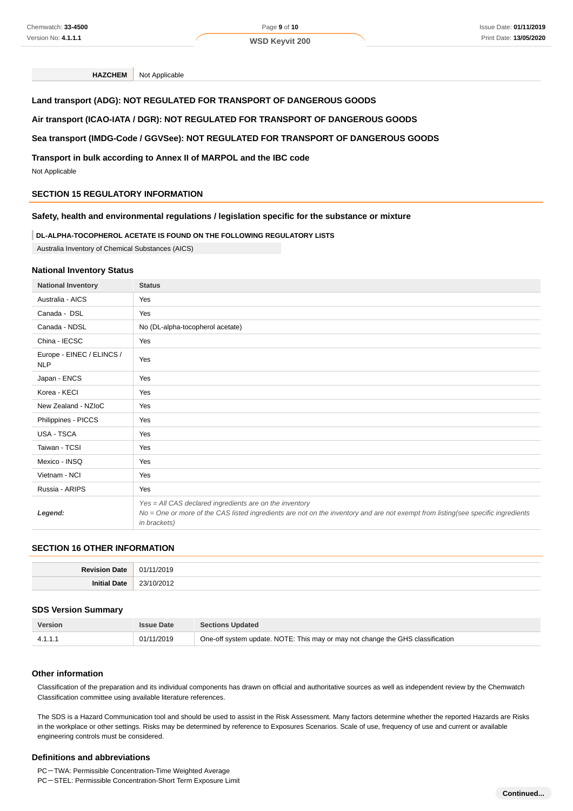**HAZCHEM** Not Applicable

### **Land transport (ADG): NOT REGULATED FOR TRANSPORT OF DANGEROUS GOODS**

#### **Air transport (ICAO-IATA / DGR): NOT REGULATED FOR TRANSPORT OF DANGEROUS GOODS**

# **Sea transport (IMDG-Code / GGVSee): NOT REGULATED FOR TRANSPORT OF DANGEROUS GOODS**

### **Transport in bulk according to Annex II of MARPOL and the IBC code**

Not Applicable

### **SECTION 15 REGULATORY INFORMATION**

#### **Safety, health and environmental regulations / legislation specific for the substance or mixture**

#### **DL-ALPHA-TOCOPHEROL ACETATE IS FOUND ON THE FOLLOWING REGULATORY LISTS**

Australia Inventory of Chemical Substances (AICS)

#### **National Inventory Status**

| <b>National Inventory</b>               | <b>Status</b>                                                                                                                                                                                               |
|-----------------------------------------|-------------------------------------------------------------------------------------------------------------------------------------------------------------------------------------------------------------|
| Australia - AICS                        | Yes                                                                                                                                                                                                         |
| Canada - DSL                            | Yes                                                                                                                                                                                                         |
| Canada - NDSL                           | No (DL-alpha-tocopherol acetate)                                                                                                                                                                            |
| China - IECSC                           | Yes                                                                                                                                                                                                         |
| Europe - EINEC / ELINCS /<br><b>NLP</b> | Yes                                                                                                                                                                                                         |
| Japan - ENCS                            | Yes                                                                                                                                                                                                         |
| Korea - KECI                            | Yes                                                                                                                                                                                                         |
| New Zealand - NZIoC                     | Yes                                                                                                                                                                                                         |
| Philippines - PICCS                     | Yes                                                                                                                                                                                                         |
| USA - TSCA                              | Yes                                                                                                                                                                                                         |
| Taiwan - TCSI                           | Yes                                                                                                                                                                                                         |
| Mexico - INSQ                           | Yes                                                                                                                                                                                                         |
| Vietnam - NCI                           | Yes                                                                                                                                                                                                         |
| Russia - ARIPS                          | Yes                                                                                                                                                                                                         |
| Legend:                                 | Yes = All CAS declared ingredients are on the inventory<br>No = One or more of the CAS listed ingredients are not on the inventory and are not exempt from listing(see specific ingredients<br>in brackets) |

# **SECTION 16 OTHER INFORMATION**

| n,<br>$\sim$ |
|--------------|

#### **SDS Version Summary**

| <b>Version</b> | <b>Issue Date</b> | <b>Sections Updated</b>                                                        |
|----------------|-------------------|--------------------------------------------------------------------------------|
| 4.1.1.1        | 01/11/2019        | One-off system update. NOTE: This may or may not change the GHS classification |

#### **Other information**

Classification of the preparation and its individual components has drawn on official and authoritative sources as well as independent review by the Chemwatch Classification committee using available literature references.

The SDS is a Hazard Communication tool and should be used to assist in the Risk Assessment. Many factors determine whether the reported Hazards are Risks in the workplace or other settings. Risks may be determined by reference to Exposures Scenarios. Scale of use, frequency of use and current or available engineering controls must be considered.

#### **Definitions and abbreviations**

PC-TWA: Permissible Concentration-Time Weighted Average

PC-STEL: Permissible Concentration-Short Term Exposure Limit